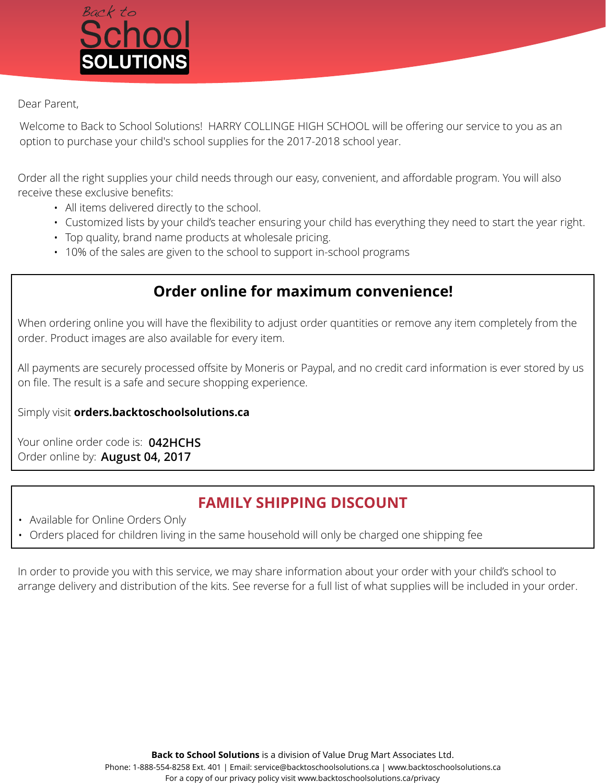

## Dear Parent,

Welcome to Back to School Solutions! HARRY COLLINGE HIGH SCHOOL will be offering our service to you as an option to purchase your child's school supplies for the 2017-2018 school year.

Order all the right supplies your child needs through our easy, convenient, and affordable program. You will also receive these exclusive benefits:

- All items delivered directly to the school.
- Customized lists by your child's teacher ensuring your child has everything they need to start the year right.
- Top quality, brand name products at wholesale pricing.
- 10% of the sales are given to the school to support in-school programs

## **Order online for maximum convenience!**

When ordering online you will have the flexibility to adjust order quantities or remove any item completely from the order. Product images are also available for every item.

All payments are securely processed offsite by Moneris or Paypal, and no credit card information is ever stored by us on file. The result is a safe and secure shopping experience.

Simply visit **orders.backtoschoolsolutions.ca** 

Your online order code is: **042HCHS** Order online by: **August 04, 2017**

## **FAMILY SHIPPING DISCOUNT**

- Available for Online Orders Only
- Orders placed for children living in the same household will only be charged one shipping fee

In order to provide you with this service, we may share information about your order with your child's school to arrange delivery and distribution of the kits. See reverse for a full list of what supplies will be included in your order.